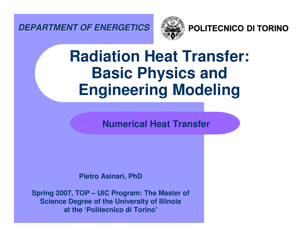*DEPARTMENT OF ENERGETICS*



POLITECNICO DI TORINO

# **Radiation Heat Transfer: Basic Physics and Engineering Modeling**

**Numerical Heat Transfer**

**Pietro Asinari, PhD**

**Spring 2007, TOP – UIC Program: The Master of Science Degree of the University of Illinois at the 'Politecnico di Torino'**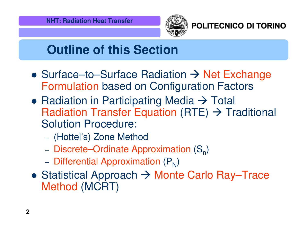

POLITECNICO DI TORINO

# **Outline of this Section**

- $\bullet$  Surface–to–Surface Radiation  $\rightarrow$  Net Exchange Formulation based on Configuration Factors
- Radiation in Participating Media  $\rightarrow$  Total Radiation Transfer Equation (RTE)  $\rightarrow$  Traditional Solution Procedure:
	- (Hottel's) Zone Method
	- Discrete–Ordinate Approximation  $(S_n)$
	- Differential Approximation (P<sub>N</sub>)
- Statistical Approach → Monte Carlo Ray–Trace Method (MCRT)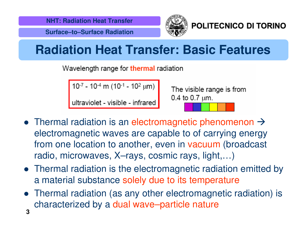**Surface–to–Surface Radiation**



POLITECNICO DI TORINO

### **Radiation Heat Transfer: Basic Features**

Wavelength range for thermal radiation

10-7 - 10-4 m (10-1 - 10<sup>2</sup> µm)

ultraviolet - visible - infrared

The visible range is from 0.4 to 0.7  $\mu$ m.

- Thermal radiation is an electromagnetic phenomenon  $\rightarrow$ electromagnetic waves are capable to of carrying energy from one location to another, even in vacuum (broadcast radio, microwaves, X–rays, cosmic rays, light,…)
- Thermal radiation is the electromagnetic radiation emitted by a material substance solely due to its temperature
- **3** Thermal radiation (as any other electromagnetic radiation) is characterized by <sup>a</sup> dual wave–particle nature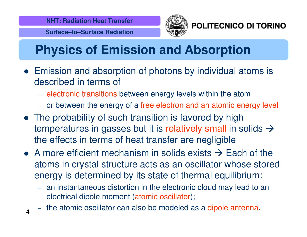**Surface–to–Surface Radiation**

**4**



POLITECNICO DI TORINO

# **Physics of Emission and Absorption**

- Emission and absorption of photons by individual atoms is described in terms of
	- electronic transitions between energy levels within the atom
	- or between the energy of <sup>a</sup> free electron and an atomic energy level
- The probability of such transition is favored by high temperatures in gasses but it is relatively small in solids  $\rightarrow$ the effects in terms of heat transfer are negligible
- A more efficient mechanism in solids exists  $\rightarrow$  Each of the atoms in crystal structure acts as an oscillator whose stored energy is determined by its state of thermal equilibrium:
	- an instantaneous distortion in the electronic cloud may lead to an electrical dipole moment (atomic oscillator);
	- the atomic oscillator can also be modeled as <sup>a</sup> dipole antenna.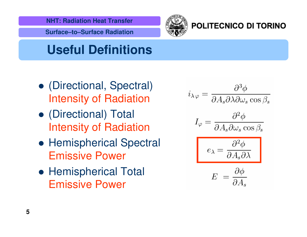

**Surface–to–Surface Radiation**



#### POLITECNICO DI TORINO

### **Useful Definitions**

- (Directional, Spectral) Intensity of Radiation
- (Directional) Total Intensity of Radiation
- **Hemispherical Spectral** Emissive Power
- **Hemispherical Total** Emissive Power

$$
i_{\lambda\varphi} = \frac{\partial^3 \phi}{\partial A_s \partial \lambda \partial \omega_s \cos \beta_s}
$$

$$
I_{\varphi} = \frac{\partial^2 \phi}{\partial A_s \partial \omega_s \cos \beta_s}
$$

$$
e_{\lambda} = \frac{\partial^2 \phi}{\partial A_s \partial \lambda}
$$

$$
E = \frac{\partial \phi}{\partial A_s}
$$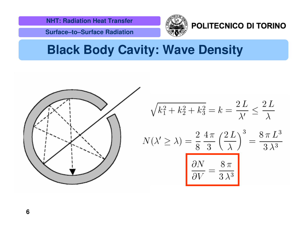**Surface–to–Surface Radiation**



#### POLITECNICO DI TORINO

### **Black Body Cavity: Wave Density**

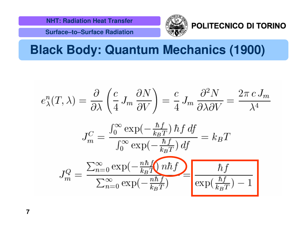**Surface–to–Surface Radiation**



#### POLITECNICO DI TORINO

### **Black Body: Quantum Mechanics (1900)**

$$
e_{\lambda}^{n}(T,\lambda) = \frac{\partial}{\partial\lambda} \left( \frac{c}{4} J_m \frac{\partial N}{\partial V} \right) = \frac{c}{4} J_m \frac{\partial^2 N}{\partial\lambda \partial V} = \frac{2\pi c J_m}{\lambda^4}
$$

$$
J_m^C = \frac{\int_0^\infty \exp(-\frac{\hbar f}{k_B T}) \,\hbar f \, df}{\int_0^\infty \exp(-\frac{\hbar f}{k_B T}) \, df} = k_B T
$$

$$
J_m^Q = \frac{\sum_{n=0}^\infty \exp(-\frac{n\hbar f}{k_B T}) \, n\hbar f}{\sum_{n=0}^\infty \exp(-\frac{n\hbar f}{k_B T})} = \frac{\hbar f}{\exp(\frac{\hbar f}{k_B T}) - 1}
$$

**7**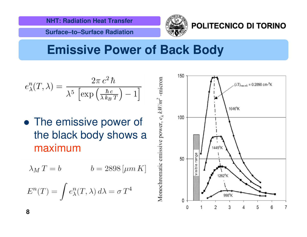**Surface–to–Surface Radiation**



#### POLITECNICO DI TORINO

### **Emissive Power of Back Body**

$$
e_{\lambda}^{n}(T,\lambda) = \frac{2\pi c^{2}\hbar}{\lambda^{5}\left[\exp\left(\frac{\hbar c}{\lambda k_{B}T}\right) - 1\right]}
$$

• The emissive power of the black body shows <sup>a</sup> maximum

$$
\lambda_M T = b \qquad \qquad b = 2898 \, [\mu m \, K]
$$

$$
E^n(T)=\int e_\lambda^n(T,\lambda)\,d\lambda=\sigma\,T^4
$$

Monochromatic emissive power,  $e_\lambda \, kW\!/\!\!m^2$  -micron

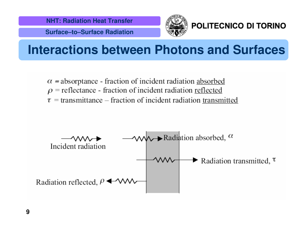**Surface–to–Surface Radiation**



POLITECNICO DI TORINO

### **Interactions between Photons and Surfaces**

 $\alpha$  = absorptance - fraction of incident radiation absorbed  $\rho$  = reflectance - fraction of incident radiation reflected  $\tau$  = transmittance – fraction of incident radiation transmitted

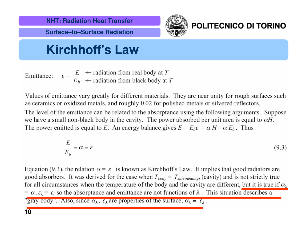**Surface–to–Surface Radiation**



#### POLITECNICO DI TORINO

### **Kirchhoff's Law**

 $\varepsilon = \frac{E}{E_b}$   $\leftarrow$  radiation from real body at T<br> $\varepsilon$   $\leftarrow$  radiation from black body at T Emittance:

Values of emittance vary greatly for different materials. They are near unity for rough surfaces such as ceramics or oxidized metals, and roughly 0.02 for polished metals or silvered reflectors.

The level of the emittance can be related to the absorptance using the following arguments. Suppose we have a small non-black body in the cavity. The power absorbed per unit area is equal to  $\alpha H$ . The power emitted is equal to E. An energy balance gives  $E = E_b \varepsilon = \alpha H = \alpha E_b$ . Thus

$$
\frac{E}{E_b} = \alpha = \varepsilon \tag{9.3}
$$

Equation (9.3), the relation  $\alpha = \varepsilon$ , is known as Kirchhoff's Law. It implies that good radiators are good absorbers. It was derived for the case when  $T_{body} = T_{surroundings}$  (cavity) and is not strictly true for all circumstances when the temperature of the body and the cavity are different, but it is true if  $\alpha_{\lambda}$  $= \alpha$ ,  $\varepsilon_{\lambda} = \varepsilon$ , so the absorptance and emittance are not functions of  $\lambda$ . This situation describes a "gray body". Also, since  $\alpha_{\lambda}$ ,  $\varepsilon_{\lambda}$  are properties of the surface,  $\alpha_{\lambda} = \varepsilon_{\lambda}$ .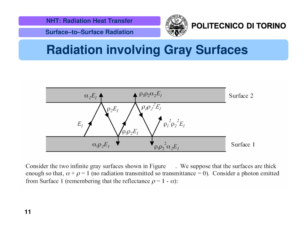

**Surface–to–Surface Radiation**



#### POLITECNICO DI TORINO

### **Radiation involving Gray Surfaces**



Consider the two infinite gray surfaces shown in Figure . We suppose that the surfaces are thick enough so that,  $\alpha + \rho = 1$  (no radiation transmitted so transmittance = 0). Consider a photon emitted from Surface 1 (remembering that the reflectance  $\rho = 1 - \alpha$ ):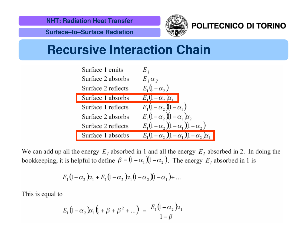

#### POLITECNICO DI TORINO

**Surface–to–Surface Radiation**

### **Recursive Interaction Chain**

| Surface 1 emits    | Ε,                                           |
|--------------------|----------------------------------------------|
| Surface 2 absorbs  | $E_{I}\alpha_{2}$                            |
| Surface 2 reflects | $E_1(1-\alpha)$                              |
| Surface 1 absorbs  | $E_1(1-\alpha, \alpha)$                      |
| Surface 1 reflects | $E_1(1-\alpha_2)(1-\alpha_1)$                |
| Surface 2 absorbs  | $E_1(1-\alpha)$ , $(1-\alpha)$ , $\alpha$    |
| Surface 2 reflects | $E_1(1-\alpha_2)(1-\alpha_1)(1-\alpha_2)$    |
| Surface 1 absorbs  | $E_1(1-\alpha_2)(1-\alpha_1)(1-\alpha_2)x_1$ |

We can add up all the energy  $E<sub>1</sub>$  absorbed in 1 and all the energy  $E<sub>2</sub>$  absorbed in 2. In doing the bookkeeping, it is helpful to define  $\beta = (1 - \alpha_1)(1 - \alpha_2)$ . The energy  $E_i$  absorbed in 1 is

$$
E_1(1-\alpha_2)\alpha_1 + E_1(1-\alpha_2)\alpha_1(1-\alpha_2)(1-\alpha_1) + \dots
$$

This is equal to

$$
E_1(1 - \alpha_2) \alpha_1 (1 + \beta + \beta^2 + \dots) = \frac{E_1(1 - \alpha_2) \alpha_1}{1 - \beta}
$$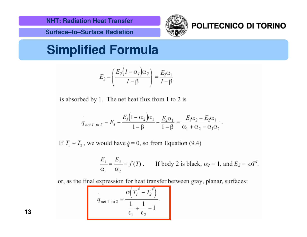

**Surface–to–Surface Radiation**



#### POLITECNICO DI TORINO

**Simplified Formula**

$$
E_2 - \left(\frac{E_2\left(1 - \alpha_1\right)\alpha_2}{1 - \beta}\right) = \frac{E_2\alpha_1}{1 - \beta}
$$

is absorbed by 1. The net heat flux from 1 to 2 is

$$
q_{net1 \to 2} = E_1 - \frac{E_1(1 - \alpha_2)\alpha_1}{1 - \beta} - \frac{E_2\alpha_1}{1 - \beta} = \frac{E_1\alpha_2 - E_2\alpha_1}{\alpha_1 + \alpha_2 - \alpha_1\alpha_2}
$$

If  $T_1 = T_2$ , we would have  $\dot{q} = 0$ , so from Equation (9.4)

$$
\frac{E_1}{\alpha_1} = \frac{E_2}{\alpha_2} = f(T).
$$
 If body 2 is black,  $\alpha_2 = 1$ , and  $E_2 = \sigma T^4$ .

or, as the final expression for heat transfer between gray, planar, surfaces:

$$
q_{\text{net 1 to 2}} = \frac{\sigma \left( T_1^4 - T_2^4 \right)}{\frac{1}{\epsilon_1} + \frac{1}{\epsilon_2} - 1}.
$$

**13**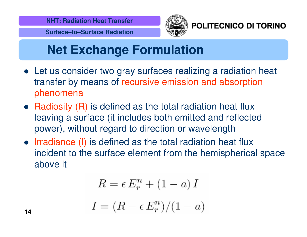

**Surface–to–Surface Radiation**



POLITECNICO DI TORINO

## **Net Exchange Formulation**

- Let us consider two gray surfaces realizing <sup>a</sup> radiation heat transfer by means of recursive emission and absorption phenomena
- Radiosity (R) is defined as the total radiation heat flux leaving <sup>a</sup> surface (it includes both emitted and reflected power), without regard to direction or wavelength
- Irradiance (I) is defined as the total radiation heat flux incident to the surface element from the hemispherical space above it

$$
R = \epsilon E_r^n + (1 - a) I
$$

$$
I = (R - \epsilon E_r^n) / (1 - a)
$$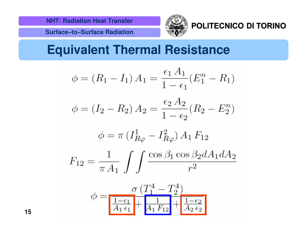POLITECNICO DI TORINO

**Surface–to–Surface Radiation**

### **Equivalent Thermal Resistance**

$$
\phi = (R_1 - I_1) A_1 = \frac{\epsilon_1 A_1}{1 - \epsilon_1} (E_1^n - R_1)
$$

$$
\phi = (I_2 - R_2) A_2 = \frac{\epsilon_2 A_2}{1 - \epsilon_2} (R_2 - E_2^n)
$$

$$
\phi = \pi \left( I_{R\varphi}^1 - I_{R\varphi}^2 \right) A_1 F_{12}
$$

$$
F_{12}=\frac{1}{\pi\,A_1}\int\int\frac{\cos\beta_1\cos\beta_2dA_1dA_2}{r^2}
$$

$$
\phi = \frac{\sigma (T_1^4 - T_2^4)}{\frac{1 - \epsilon_1}{A_1 \epsilon_1} + \frac{1}{A_1 F_{12}} + \frac{1 - \epsilon_2}{A_2 \epsilon_2}}
$$

**15**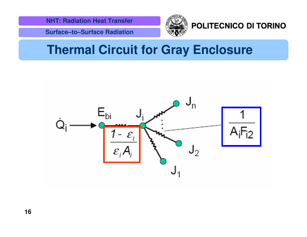#### POLITECNICO DI TORINO

**Surface–to–Surface Radiation**

### **Thermal Circuit for Gray Enclosure**

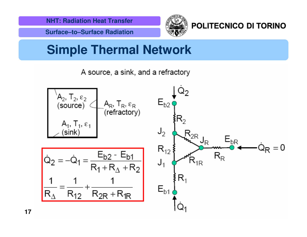

### **Simple Thermal Network**

A source, a sink, and a refractory



**17**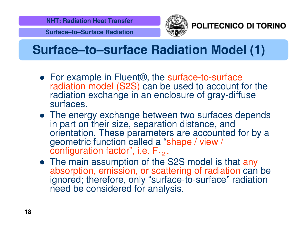**Surface–to–Surface Radiation**



POLITECNICO DI TORINO

### **Surface–to–surface Radiation Model (1)**

- For example in Fluent®, the surface-to-surface radiation model (S2S) can be used to account for the radiation exchange in an enclosure of gray-diffuse surfaces.
- The energy exchange between two surfaces depends in part on their size, separation distance, and orientation. These parameters are accounted for by <sup>a</sup> geometric function called <sup>a</sup> "shape / view / configuration factor", i.e. F<sub>12</sub> .
- The main assumption of the S2S model is that any absorption, emission, or scattering of radiation can be ignored; therefore, only "surface-to-surface" radiation need be considered for analysis.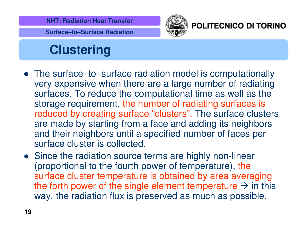

**Surface–to–Surface Radiation**



#### POLITECNICO DI TORINO

# **Clustering**

- The surface–to–surface radiation model is computationally very expensive when there are <sup>a</sup> large number of radiating surfaces. To reduce the computational time as well as the storage requirement, the number of radiating surfaces is reduced by creating surface "clusters". The surface clusters are made by starting from <sup>a</sup> face and adding its neighbors and their neighbors until <sup>a</sup> specified number of faces per surface cluster is collected.
- Since the radiation source terms are highly non-linear (proportional to the fourth power of temperature), the surface cluster temperature is obtained by area averaging the forth power of the single element temperature  $\rightarrow$  in this way, the radiation flux is preserved as much as possible.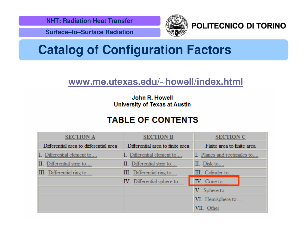

#### POLITECNICO DI TORINO

**Surface–to–Surface Radiation**

### **Catalog of Configuration Factors**

#### **www.me.utexas.edu/~howell/index.html**

#### John R. Howell **University of Texas at Austin**

#### **TABLE OF CONTENTS**

| <b>SECTION A</b>                       | <b>SECTION B</b>                 | <b>SECTION C</b>            |  |
|----------------------------------------|----------------------------------|-----------------------------|--|
| Differential area to differential area | Differential area to finite area | Finite area to finite area  |  |
| I. Differential element to             | I. Differential element to       | I. Planes and rectangles to |  |
| II. Differential strip to              | II. Differential strip to        | II. Disk to                 |  |
| III. Differential ring to              | III. Differential ring to        | III. Cylinder to            |  |
|                                        | IV. Differential sphere to       | IV. Cone to                 |  |
|                                        |                                  | V. Sphere to                |  |
|                                        |                                  | VI. Hemisphere to           |  |
|                                        |                                  | VII. Other                  |  |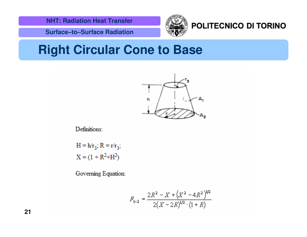



#### POLITECNICO DI TORINO

**Surface–to–Surface Radiation**

#### **Right Circular Cone to Base**



Definitions:

 $H = h/r_3$ ;  $R = r/r_3$ ;  $X = (1 + R<sup>2</sup>+H<sup>2</sup>)$ 

Governing Equation:

$$
F_{1-2} = \frac{2R^2 - X + (X^2 - 4R^2)^{1/2}}{2(X - 2R)^{1/2} \cdot (1 + R)}
$$

**21**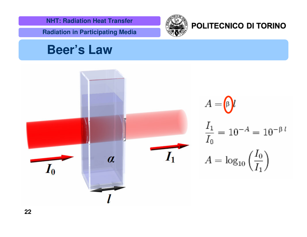**Radiation in Participating Media**

#### POLITECNICO DI TORINO

### **Beer's Law**

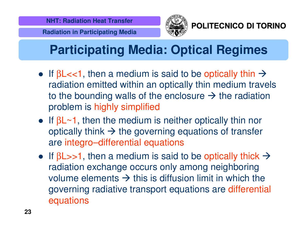

POLITECNICO DI TORINO

# **Participating Media: Optical Regimes**

- If  $\beta$ L<<1, then a medium is said to be optically thin  $\rightarrow$ radiation emitted within an optically thin medium travels to the bounding walls of the enclosure  $\rightarrow$  the radiation problem is highly simplified
- If  $\beta$ L~1, then the medium is neither optically thin nor optically think  $\boldsymbol{\rightarrow}$  the governing equations of transfer are integro–differential equations
- If  $\beta$ L>>1, then a medium is said to be optically thick  $\rightarrow$ radiation exchange occurs only among neighboring volume elements  $\rightarrow$  this is diffusion limit in which the governing radiative transport equations are differential equations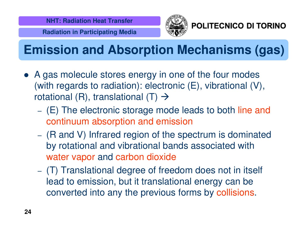

POLITECNICO DI TORINO

# **Emission and Absorption Mechanisms (gas)**

- A gas molecule stores energy in one of the four modes (with regards to radiation): electronic (E), vibrational (V), rotational (R), translational (T)  $\rightarrow$ 
	- (E) The electronic storage mode leads to both line and continuum absorption and emission
	- (R and V) Infrared region of the spectrum is dominated by rotational and vibrational bands associated with water vapor and carbon dioxide
	- (T) Translational degree of freedom does not in itself lead to emission, but it translational energy can be converted into any the previous forms by collisions.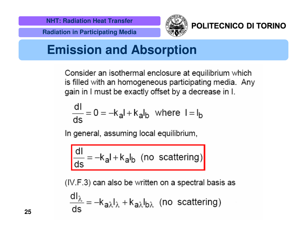



#### POLITECNICO DI TORINO

### **Emission and Absorption**

Consider an isothermal enclosure at equilibrium which is filled with an homogeneous participating media. Any gain in I must be exactly offset by a decrease in I.

$$
\frac{dI}{ds} = 0 = -k_a I + k_a I_b
$$
 where  $I = I_b$ 

In general, assuming local equilibrium,

$$
\frac{dl}{ds} = -k_{a}l + k_{a}l_{b}
$$
 (no scattering)

(IV.F.3) can also be written on a spectral basis as

$$
\frac{dI_{\lambda}}{ds} = -k_{a\lambda}I_{\lambda} + k_{a\lambda}I_{b\lambda}
$$
 (no scattering)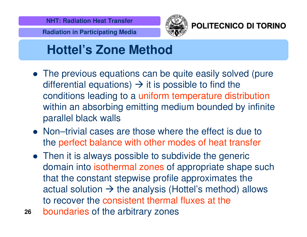



#### POLITECNICO DI TORINO

### **Hottel's Zone Method**

- The previous equations can be quite easily solved (pure differential equations)  $\rightarrow$  it is possible to find the conditions leading to <sup>a</sup> uniform temperature distribution within an absorbing emitting medium bounded by infinite parallel black walls
- Non–trivial cases are those where the effect is due to the perfect balance with other modes of heat transfer
- Then it is always possible to subdivide the generic domain into isothermal zones of appropriate shape such that the constant stepwise profile approximates the actual solution  $\rightarrow$  the analysis (Hottel's method) allows to recover the consistent thermal fluxes at the
- **26**boundaries of the arbitrary zones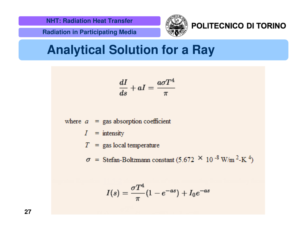

#### POLITECNICO DI TORINO

**Radiation in Participating Media**

### **Analytical Solution for <sup>a</sup> Ray**

$$
\frac{dI}{ds}+aI=\frac{a\sigma T^4}{\pi}
$$

where  $a =$  gas absorption coefficient

 $=$  intensity  $I^-$ 

 $T =$  gas local temperature

 $\sigma$  = Stefan-Boltzmann constant (5.672  $\times$  10<sup>-8</sup> W/m<sup>2</sup>-K<sup>4</sup>)

$$
I(s) = \frac{\sigma T^4}{\pi} (1 - e^{-as}) + I_0 e^{-as}
$$

**27**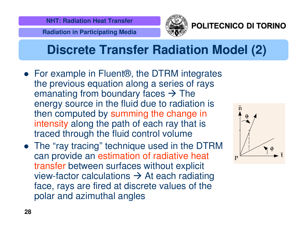

#### POLITECNICO DI TORINO

### **Discrete Transfer Radiation Model (2)**

- For example in Fluent®, the DTRM integrates the previous equation along <sup>a</sup> series of rays emanating from boundary faces  $\rightarrow$  The energy source in the fluid due to radiation is then computed by summing the change in intensity along the path of each ray that is traced through the fluid control volume
- The "ray tracing" technique used in the DTRM can provide an estimation of radiative heat transfer between surfaces without explicit view-factor calculations  $\rightarrow$  At each radiating face, rays are fired at discrete values of the polar and azimuthal angles

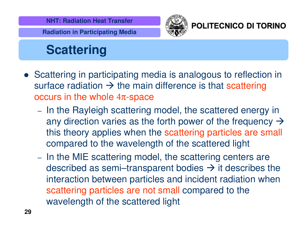



#### POLITECNICO DI TORINO

# **Scattering**

- Scattering in participating media is analogous to reflection in surface radiation  $\rightarrow$  the main difference is that scattering occurs in the whole 4π-space
	- In the Rayleigh scattering model, the scattered energy in any direction varies as the forth power of the frequency  $\rightarrow$ this theory applies when the scattering particles are small compared to the wavelength of the scattered light
	- In the MIE scattering model, the scattering centers are described as semi–transparent bodies  $\rightarrow$  it describes the interaction between particles and incident radiation when scattering particles are not small compared to the wavelength of the scattered light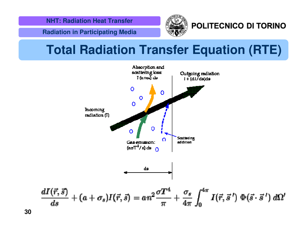**Radiation in Participating Media**



#### POLITECNICO DI TORINO

### **Total Radiation Transfer Equation (RTE)**

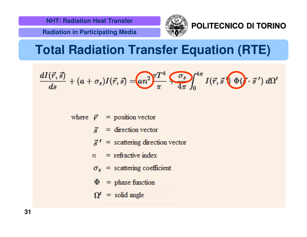



#### POLITECNICO DI TORINO

### **Total Radiation Transfer Equation (RTE)**

$$
\frac{dI(\vec{r},\vec{s})}{ds}+(a+\sigma_s)I(\vec{r},\vec{s})=\underbrace{(an^2)}_{\pi}\frac{T^4}{4\pi}\underbrace{\sigma_s}_{4\pi}\int_0^{4\pi}I(\vec{r},\vec{s}\otimes\Phi)\cdot\vec{s}^{\,\prime})\;d\Omega^{\prime}
$$

where  $\vec{r}$  = position vector

- $=$  direction vector  $\vec{S}$
- $\vec{s}$ <sup> $\prime$ </sup> = scattering direction vector
- $n =$  refractive index
- $\sigma_s$  = scattering coefficient
- $\Phi$  = phase function
- $\Omega'$  = solid angle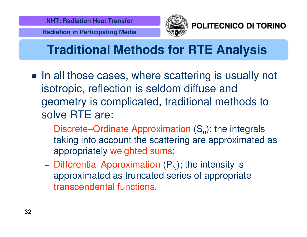

POLITECNICO DI TORINO

# **Traditional Methods for RTE Analysis**

- In all those cases, where scattering is usually not isotropic, reflection is seldom diffuse and geometry is complicated, traditional methods to solve RTE are:
	- Discrete–Ordinate Approximation  $(S_{n})$ ; the integrals taking into account the scattering are approximated as appropriately weighted sums;
	- Differential Approximation  $(\mathsf{P}_{\mathsf{N}})$ ; the intensity is approximated as truncated series of appropriate transcendental functions.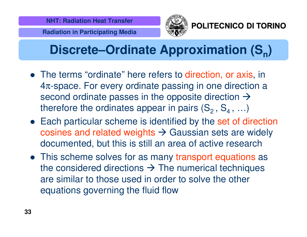

POLITECNICO DI TORINO

# **Discrete–Ordinate Approximation (S<sub>n</sub>)**

- The terms "ordinate" here refers to direction, or axis, in 4π-space. For every ordinate passing in one direction <sup>a</sup> second ordinate passes in the opposite direction  $\rightarrow$ therefore the ordinates appear in pairs (S<sub>2</sub> , S<sub>4</sub> , ...)
- Each particular scheme is identified by the set of direction cosines and related weights  $\rightarrow$  Gaussian sets are widely documented, but this is still an area of active research
- This scheme solves for as many transport equations as the considered directions  $\rightarrow$  The numerical techniques are similar to those used in order to solve the other equations governing the fluid flow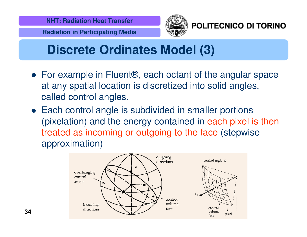



POLITECNICO DI TORINO

### **Discrete Ordinates Model (3)**

- For example in Fluent®, each octant of the angular space at any spatial location is discretized into solid angles, called control angles.
- Each control angle is subdivided in smaller portions (pixelation) and the energy contained in each pixel is then treated as incoming or outgoing to the face (stepwise approximation)

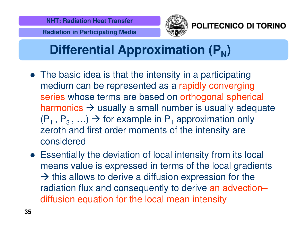



POLITECNICO DI TORINO

# **Differential Approximation (P<sub>N</sub>)**

- The basic idea is that the intensity in a participating medium can be represented as <sup>a</sup> rapidly converging series whose terms are based on orthogonal spherical harmonics  $\rightarrow$  usually a small number is usually adequate (P<sub>1</sub>, P<sub>3</sub>, ...)  $\rightarrow$  for example in P<sub>1</sub> approximation only zeroth and first order moments of the intensity are considered
- Essentially the deviation of local intensity from its local means value is expressed in terms of the local gradients  $\rightarrow$  this allows to derive a diffusion expression for the radiation flux and consequently to derive an advection– diffusion equation for the local mean intensity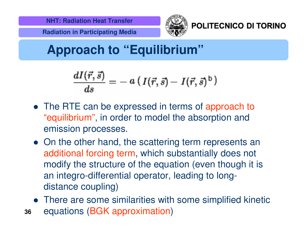



POLITECNICO DI TORINO

# **Approach to "Equilibrium"**

$$
\frac{dI(\vec{r},\vec{s})}{ds}=-~a~(~I(\vec{r},\vec{s})-~I(\vec{r},\vec{s})^{\,\text{b}}\,)
$$

- The RTE can be expressed in terms of approach to "equilibrium", in order to model the absorption and emission processes.
- On the other hand, the scattering term represents an additional forcing term, which substantially does not modify the structure of the equation (even though it is an integro-differential operator, leading to longdistance coupling)
- There are some similarities with some simplified kinetic
- **36**equations (BGK approximation)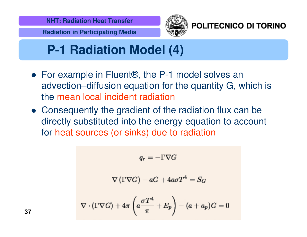



#### POLITECNICO DI TORINO

# **P-1 Radiation Model (4)**

- For example in Fluent®, the P-1 model solves an advection–diffusion equation for the quantity G, which is the mean local incident radiation
- Consequently the gradient of the radiation flux can be directly substituted into the energy equation to account for heat sources (or sinks) due to radiation

$$
q_r=-\Gamma \nabla G
$$

$$
\nabla\left(\Gamma\nabla G\right)-aG+4a\sigma T^4=S_G
$$

$$
\nabla \cdot (\Gamma \nabla G) + 4\pi \left( a \frac{\sigma T^4}{\pi} + E_p \right) - (a + a_p)G = 0
$$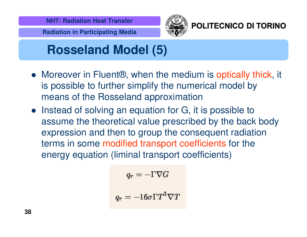



POLITECNICO DI TORINO

# **Rosseland Model (5)**

- Moreover in Fluent<sup>®</sup>, when the medium is optically thick, it is possible to further simplify the numerical model by means of the Rosseland approximation
- Instead of solving an equation for G, it is possible to assume the theoretical value prescribed by the back body expression and then to group the consequent radiation terms in some modified transport coefficients for the energy equation (liminal transport coefficients)

$$
q_r=-\Gamma \nabla G
$$
  

$$
q_r=-16\sigma\Gamma T^3\nabla T
$$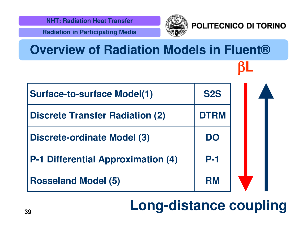



#### POLITECNICO DI TORINO

β**L**

| <b>Surface-to-surface Model(1)</b>        | <b>S2S</b>  |  |  |
|-------------------------------------------|-------------|--|--|
| <b>Discrete Transfer Radiation (2)</b>    | <b>DTRM</b> |  |  |
| Discrete-ordinate Model (3)               | DO          |  |  |
| <b>P-1 Differential Approximation (4)</b> | <b>P-1</b>  |  |  |
| <b>Rosseland Model (5)</b>                | <b>RM</b>   |  |  |

**Overview of Radiation Models in Fluent®**

# **Long-distance coupling**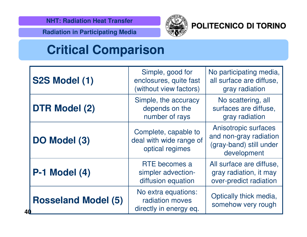

#### POLITECNICO DI TORINO

**Radiation in Participating Media**

### **Critical Comparison**

|    | <b>S2S Model (1)</b>       | Simple, good for<br>enclosures, quite fast<br>(without view factors) | No participating media,<br>all surface are diffuse,<br>gray radiation                    |
|----|----------------------------|----------------------------------------------------------------------|------------------------------------------------------------------------------------------|
| 40 | <b>DTR Model (2)</b>       | Simple, the accuracy<br>depends on the<br>number of rays             | No scattering, all<br>surfaces are diffuse,<br>gray radiation                            |
|    | DO Model (3)               | Complete, capable to<br>deal with wide range of<br>optical regimes   | Anisotropic surfaces<br>and non-gray radiation<br>(gray-band) still under<br>development |
|    | <b>P-1 Model (4)</b>       | RTE becomes a<br>simpler advection-<br>diffusion equation            | All surface are diffuse,<br>gray radiation, it may<br>over-predict radiation             |
|    | <b>Rosseland Model (5)</b> | No extra equations:<br>radiation moves<br>directly in energy eq.     | Optically thick media,<br>somehow very rough                                             |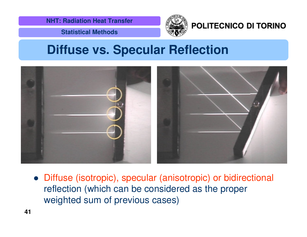

#### POLITECNICO DI TORINO

**Statistical Methods**

#### **Diffuse vs. Specular Reflection**



 Diffuse (isotropic), specular (anisotropic) or bidirectional reflection (which can be considered as the proper weighted sum of previous cases)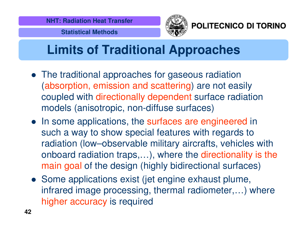

POLITECNICO DI TORINO

# **Limits of Traditional Approaches**

- The traditional approaches for gaseous radiation (absorption, emission and scattering) are not easily coupled with directionally dependent surface radiation models (anisotropic, non-diffuse surfaces)
- In some applications, the surfaces are engineered in such <sup>a</sup> way to show special features with regards to radiation (low–observable military aircrafts, vehicles with onboard radiation traps,…), where the directionality is the main goal of the design (highly bidirectional surfaces)
- Some applications exist (jet engine exhaust plume, infrared image processing, thermal radiometer,…) where higher accuracy is required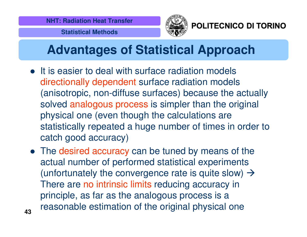

POLITECNICO DI TORINO

# **Advantages of Statistical Approach**

- It is easier to deal with surface radiation models directionally dependent surface radiation models (anisotropic, non-diffuse surfaces) because the actually solved analogous process is simpler than the original physical one (even though the calculations are statistically repeated <sup>a</sup> huge number of times in order to catch good accuracy)
- The desired accuracy can be tuned by means of the actual number of performed statistical experiments (unfortunately the convergence rate is quite slow)  $\rightarrow$ There are no intrinsic limits reducing accuracy in principle, as far as the analogous process is <sup>a</sup> reasonable estimation of the original physical one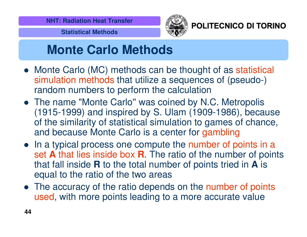



POLITECNICO DI TORINO

### **Monte Carlo Methods**

- Monte Carlo (MC) methods can be thought of as statistical simulation methods that utilize <sup>a</sup> sequences of (pseudo-) random numbers to perform the calculation
- The name "Monte Carlo''was coined by N.C. Metropolis (1915-1999) and inspired by S. Ulam (1909-1986), because of the similarity of statistical simulation to games of chance, and because Monte Carlo is <sup>a</sup> center for gambling
- In a typical process one compute the number of points in a set **A** that lies inside box **R**. The ratio of the number of points that fall inside **R** to the total number of points tried in **A** is equal to the ratio of the two areas
- The accuracy of the ratio depends on the number of points used, with more points leading to <sup>a</sup> more accurate value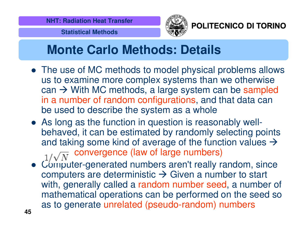

POLITECNICO DI TORINO

### **Monte Carlo Methods: Details**

- The use of MC methods to model physical problems allows us to examine more complex systems than we otherwise can  $\rightarrow$  With MC methods, a large system can be sampled in a number of random configurations, and that data can be used to describe the system as <sup>a</sup> whole
- As long as the function in question is reasonably wellbehaved, it can be estimated by randomly selecting points and taking some kind of average of the function values  $\rightarrow$ convergence (law of large numbers)
- Computer-generated numbers aren't really random, since computers are deterministic  $\rightarrow$  Given a number to start with, generally called a random number seed, a number of mathematical operations can be performed on the seed so as to generate unrelated (pseudo-random) numbers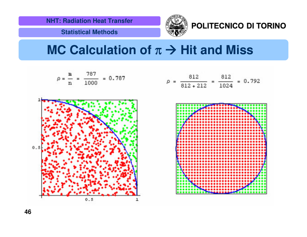**Statistical Methods**



POLITECNICO DI TORINO

### **MC Calculation of** <sup>π</sup> - **Hit and Miss**

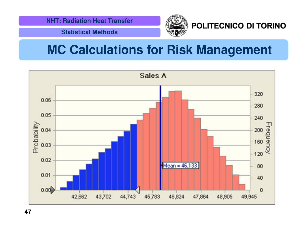#### POLITECNICO DI TORINO

**Statistical Methods**

### **MC Calculations for Risk Management**



**47**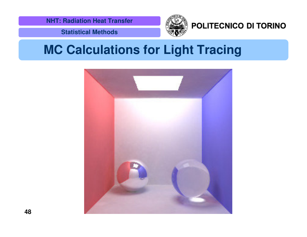

#### POLITECNICO DI TORINO

**Statistical Methods**

### **MC Calculations for Light Tracing**

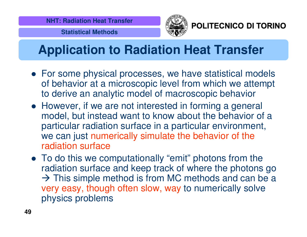

POLITECNICO DI TORINO

# **Application to Radiation Heat Transfer**

- For some physical processes, we have statistical models of behavior at a microscopic level from which we attempt to derive an analytic model of macroscopic behavior
- However, if we are not interested in forming <sup>a</sup> general model, but instead want to know about the behavior of <sup>a</sup> particular radiation surface in <sup>a</sup> particular environment, we can just numerically simulate the behavior of the radiation surface
- To do this we computationally "emit" photons from the radiation surface and keep track of where the photons go  $\rightarrow$  This simple method is from MC methods and can be a very easy, though often slow, way to numerically solve physics problems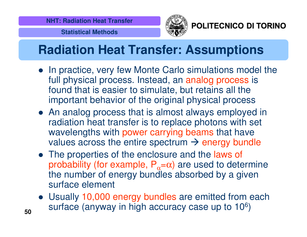

POLITECNICO DI TORINO

**Statistical Methods**

# **Radiation Heat Transfer: Assumptions**

- In practice, very few Monte Carlo simulations model the full physical process. Instead, an analog process is found that is easier to simulate, but retains all the important behavior of the original physical process
- An analog process that is almost always employed in radiation heat transfer is to replace photons with set wavelengths with power carrying beams that have values across the entire spectrum  $\rightarrow$  energy bundle
- The properties of the enclosure and the laws of probability (for example,  $P_{\alpha}=\alpha$ ) are used to determine the number of energy bundles absorbed by <sup>a</sup> given surface element
- Usually 10,000 energy bundles are emitted from each surface (anyway in high accuracy case up to 10 $^6$ )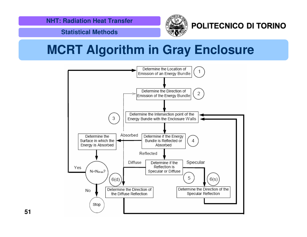

POLITECNICO DI TORINO

**Statistical Methods**

# **MCRT Algorithm in Gray Enclosure**



**51**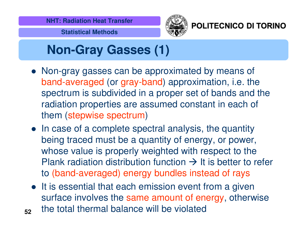

POLITECNICO DI TORINO

# **Non-Gray Gasses (1)**

- Non-gray gasses can be approximated by means of band-averaged (or gray-band) approximation, i.e. the spectrum is subdivided in <sup>a</sup> proper set of bands and the radiation properties are assumed constant in each of them (stepwise spectrum)
- In case of a complete spectral analysis, the quantity being traced must be <sup>a</sup> quantity of energy, or power, whose value is properly weighted with respect to the Plank radiation distribution function  $\rightarrow$  It is better to refer to (band-averaged) energy bundles instead of rays
- It is essential that each emission event from a given surface involves the same amount of energy, otherwise the total thermal balance will be violated
- **52**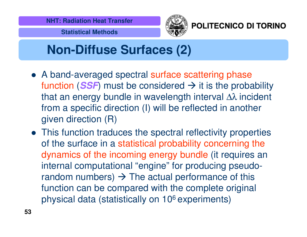

#### POLITECNICO DI TORINO

## **Non-Diffuse Surfaces (2)**

- A band-averaged spectral surface scattering phase function (SSF) must be considered  $\rightarrow$  it is the probability that an energy bundle in wavelength interval ∆ $\lambda$  incident from <sup>a</sup> specific direction (I) will be reflected in another given direction (R)
- This function traduces the spectral reflectivity properties of the surface in <sup>a</sup> statistical probability concerning the dynamics of the incoming energy bundle (it requires an internal computational "engine" for producing pseudorandom numbers)  $\rightarrow$  The actual performance of this function can be compared with the complete original physical data (statistically on 106 experiments)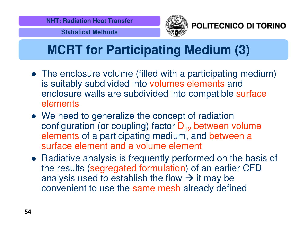

POLITECNICO DI TORINO

# **MCRT for Participating Medium (3)**

- The enclosure volume (filled with <sup>a</sup> participating medium) is suitably subdivided into volumes elements and enclosure walls are subdivided into compatible surface elements
- We need to generalize the concept of radiation configuration (or coupling) factor  $\mathsf{D}_{12}$  between volume elements of a participating medium, and between <sup>a</sup> surface element and a volume element
- Radiative analysis is frequently performed on the basis of the results (segregated formulation) of an earlier CFD analysis used to establish the flow  $\rightarrow$  it may be convenient to use the same mesh already defined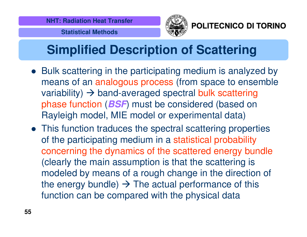

POLITECNICO DI TORINO

# **Simplified Description of Scattering**

- Bulk scattering in the participating medium is analyzed by means of an analogous process (from space to ensemble variability)  $\rightarrow$  band-averaged spectral bulk scattering phase function (*BSF*) must be considered (based on Rayleigh model, MIE model or experimental data)
- This function traduces the spectral scattering properties of the participating medium in <sup>a</sup> statistical probability concerning the dynamics of the scattered energy bundle (clearly the main assumption is that the scattering is modeled by means of <sup>a</sup> rough change in the direction of the energy bundle)  $\rightarrow$  The actual performance of this function can be compared with the physical data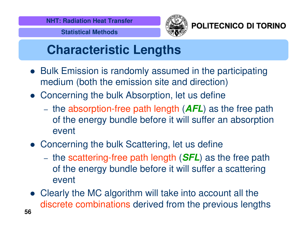

POLITECNICO DI TORINO

# **Characteristic Lengths**

- Bulk Emission is randomly assumed in the participating medium (both the emission site and direction)
- Concerning the bulk Absorption, let us define
	- –- the absorption-free path length (*AFL*) as the free path of the energy bundle before it will suffer an absorption event
- Concerning the bulk Scattering, let us define
	- –- the scattering-free path length (*SFL*) as the free path of the energy bundle before it will suffer <sup>a</sup> scattering event
- **56** Clearly the MC algorithm will take into account all the discrete combinations derived from the previous lengths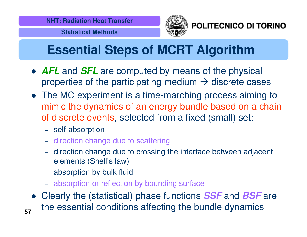

POLITECNICO DI TORINO

# **Essential Steps of MCRT Algorithm**

- *AFL* and *SFL* are computed by means of the physical properties of the participating medium  $\rightarrow$  discrete cases
- The MC experiment is <sup>a</sup> time-marching process aiming to mimic the dynamics of an energy bundle based on <sup>a</sup> chain of discrete events, selected from <sup>a</sup> fixed (small) set:
	- self-absorption
	- direction change due to scattering
	- direction change due to crossing the interface between adjacent elements (Snell's law)
	- absorption by bulk fluid
	- absorption or reflection by bounding surface
- **57** Clearly the (statistical) phase functions *SSF* and *BSF* are the essential conditions affecting the bundle dynamics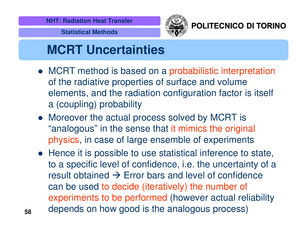

POLITECNICO DI TORINO

### **MCRT Uncertainties**

- MCRT method is based on <sup>a</sup> probabilistic interpretation of the radiative properties of surface and volume elements, and the radiation configuration factor is itself a (coupling) probability
- Moreover the actual process solved by MCRT is "analogous" in the sense that it mimics the original physics, in case of large ensemble of experiments
- Hence it is possible to use statistical inference to state, to <sup>a</sup> specific level of confidence, i.e. the uncertainty of <sup>a</sup> result obtained  $\bm{\rightarrow}$  Error bars and level of confidence can be used to decide (iteratively) the number of experiments to be performed (however actual reliability depends on how good is the analogous process)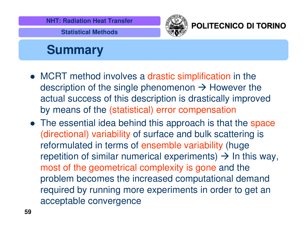



#### POLITECNICO DI TORINO

### **Summary**

- MCRT method involves <sup>a</sup> drastic simplification in the description of the single phenomenon  $\rightarrow$  However the actual success of this description is drastically improved by means of the (statistical) error compensation
- The essential idea behind this approach is that the space (directional) variability of surface and bulk scattering is reformulated in terms of ensemble variability (huge repetition of similar numerical experiments)  $\rightarrow$  In this way, most of the geometrical complexity is gone and the problem becomes the increased computational demand required by running more experiments in order to get an acceptable convergence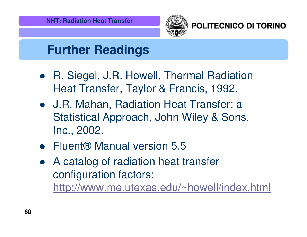

#### POLITECNICO DI TORINO

### **Further Readings**

- R. Siegel, J.R. Howell, Thermal Radiation Heat Transfer, Taylor & Francis, 1992.
- J.R. Mahan, Radiation Heat Transfer: <sup>a</sup> Statistical Approach, John Wiley & Sons, Inc., 2002.
- Fluent® Manual version 5.5
- $\bullet$  A catalog of radiation heat transfer configuration factors: http://www.me.utexas.edu/~howell/index.html